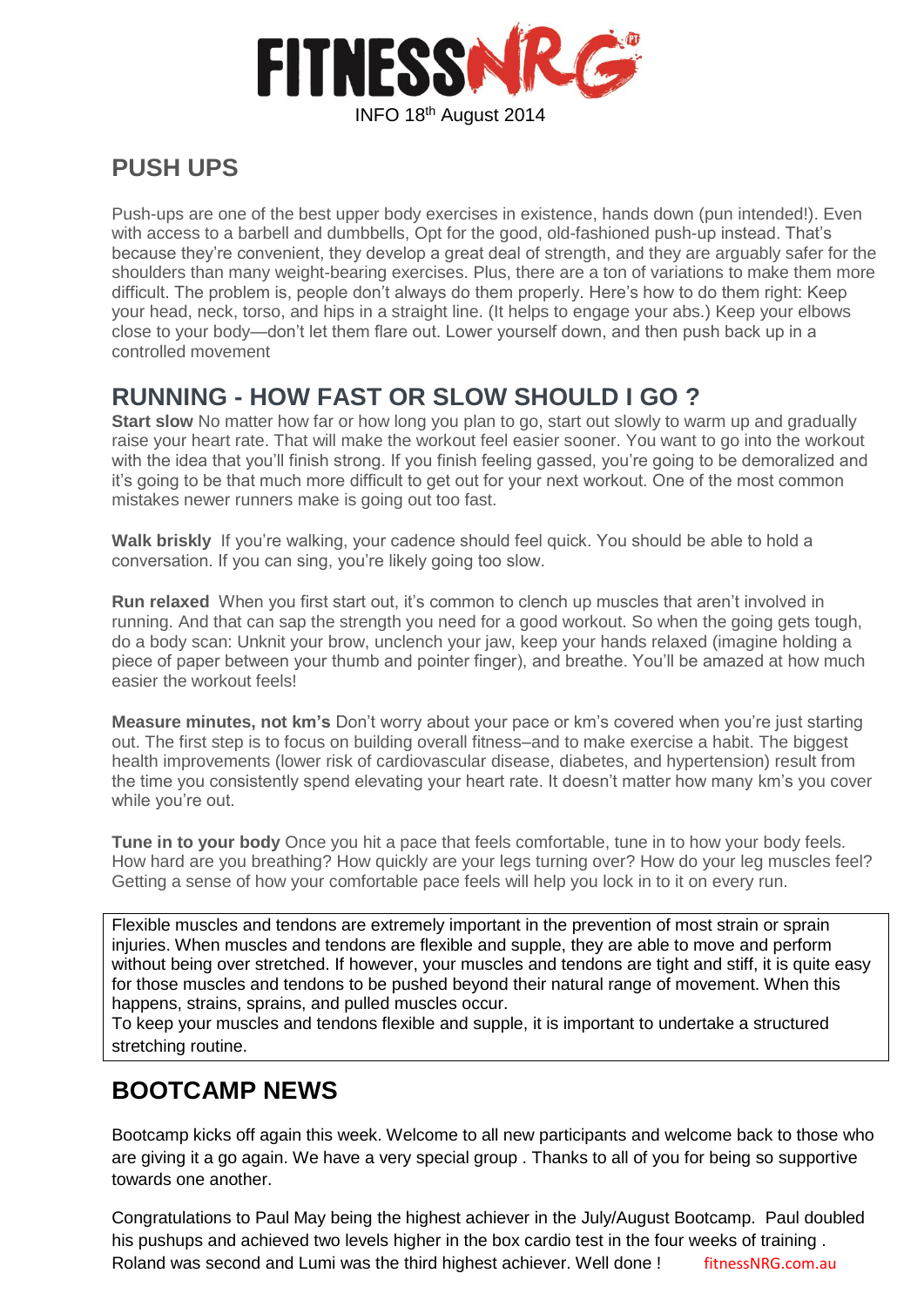

## **PUSH UPS**

Push-ups are one of the best upper body exercises in existence, hands down (pun intended!). Even with access to a barbell and dumbbells, Opt for the good, old-fashioned push-up instead. That's because they're convenient, they develop a great deal of strength, and they are arguably safer for the shoulders than many weight-bearing exercises. Plus, there are a ton of variations to make them more difficult. The problem is, people don't always do them properly. Here's how to do them right: Keep your head, neck, torso, and hips in a straight line. (It helps to engage your abs.) Keep your elbows close to your body—don't let them flare out. Lower yourself down, and then push back up in a controlled movement

## **RUNNING - HOW FAST OR SLOW SHOULD I GO ?**

**Start slow** No matter how far or how long you plan to go, start out slowly to warm up and gradually raise your heart rate. That will make the workout feel easier sooner. You want to go into the workout with the idea that you'll finish strong. If you finish feeling gassed, you're going to be demoralized and it's going to be that much more difficult to get out for your next workout. One of the most common mistakes newer runners make is going out too fast.

Walk briskly If you're walking, your cadence should feel quick. You should be able to hold a conversation. If you can sing, you're likely going too slow.

**Run relaxed** When you first start out, it's common to clench up muscles that aren't involved in running. And that can sap the strength you need for a good workout. So when the going gets tough, do a body scan: Unknit your brow, unclench your jaw, keep your hands relaxed (imagine holding a piece of paper between your thumb and pointer finger), and breathe. You'll be amazed at how much easier the workout feels!

**Measure minutes, not km's** Don't worry about your pace or km's covered when you're just starting out. The first step is to focus on building overall fitness–and to make exercise a habit. The biggest health improvements (lower risk of cardiovascular disease, diabetes, and hypertension) result from the time you consistently spend elevating your heart rate. It doesn't matter how many km's you cover while you're out.

**Tune in to your body** Once you hit a pace that feels comfortable, tune in to how your body feels. How hard are you breathing? How quickly are your legs turning over? How do your leg muscles feel? Getting a sense of how your comfortable pace feels will help you lock in to it on every run.

Flexible muscles and tendons are extremely important in the prevention of most strain or sprain injuries. When muscles and tendons are flexible and supple, they are able to move and perform without being over stretched. If however, your muscles and tendons are tight and stiff, it is quite easy for those muscles and tendons to be pushed beyond their natural range of movement. When this happens, strains, sprains, and pulled muscles occur.

To keep your muscles and tendons flexible and supple, it is important to undertake a structured stretching routine.

## **BOOTCAMP NEWS**

Bootcamp kicks off again this week. Welcome to all new participants and welcome back to those who are giving it a go again. We have a very special group . Thanks to all of you for being so supportive towards one another.

Congratulations to Paul May being the highest achiever in the July/August Bootcamp. Paul doubled his pushups and achieved two levels higher in the box cardio test in the four weeks of training . Roland was second and Lumi was the third highest achiever. Well done ! fitnessNRG.com.au